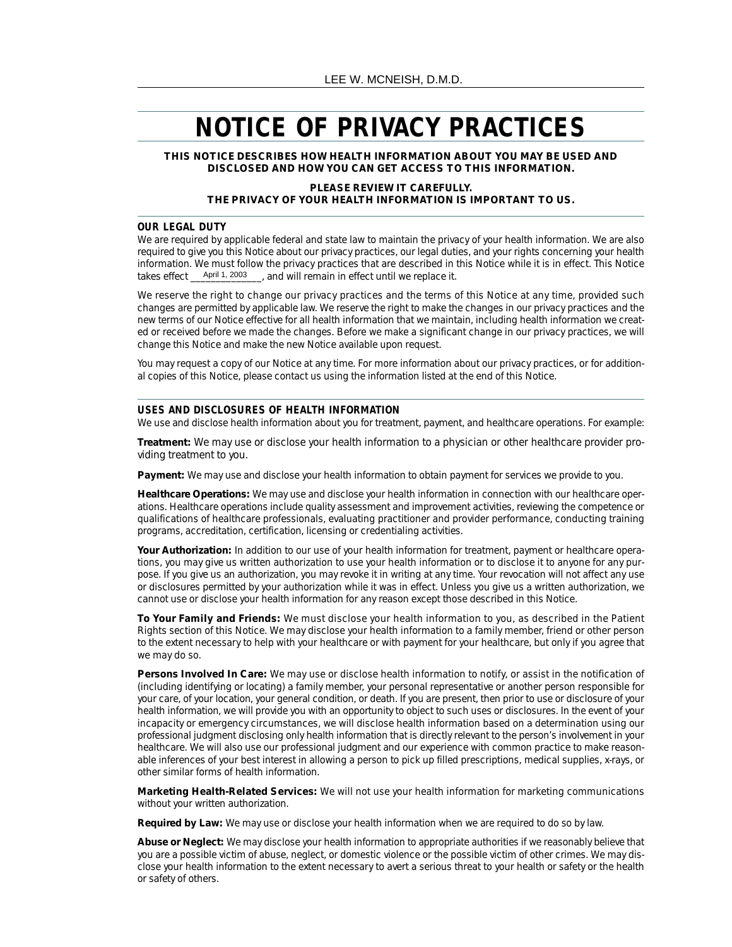# **NOTICE OF PRIVACY PRACTICES**

**THIS NOTICE DESCRIBES HOW HEALTH INFORMATION ABOUT YOU MAY BE USED AND DISCLOSED AND HOW YOU CAN GET ACCESS TO THIS INFORMATION.**

# **PLEASE REVIEW IT CAREFULLY. THE PRIVACY OF YOUR HEALTH INFORMATION IS IMPORTANT TO US.**

#### **OUR LEGAL DUTY**

We are required by applicable federal and state law to maintain the privacy of your health information. We are also required to give you this Notice about our privacy practices, our legal duties, and your rights concerning your health information. We must follow the privacy practices that are described in this Notice while it is in effect. This Notice \_, and will remain in effect until we replace it. takes effect April 1, 2003

We reserve the right to change our privacy practices and the terms of this Notice at any time, provided such changes are permitted by applicable law. We reserve the right to make the changes in our privacy practices and the new terms of our Notice effective for all health information that we maintain, including health information we created or received before we made the changes. Before we make a significant change in our privacy practices, we will change this Notice and make the new Notice available upon request.

You may request a copy of our Notice at any time. For more information about our privacy practices, or for additional copies of this Notice, please contact us using the information listed at the end of this Notice.

#### **USES AND DISCLOSURES OF HEALTH INFORMATION**

We use and disclose health information about you for treatment, payment, and healthcare operations. For example:

**Treatment:** We may use or disclose your health information to a physician or other healthcare provider providing treatment to you.

**Payment:** We may use and disclose your health information to obtain payment for services we provide to you.

**Healthcare Operations:** We may use and disclose your health information in connection with our healthcare operations. Healthcare operations include quality assessment and improvement activities, reviewing the competence or qualifications of healthcare professionals, evaluating practitioner and provider performance, conducting training programs, accreditation, certification, licensing or credentialing activities.

**Your Authorization:** In addition to our use of your health information for treatment, payment or healthcare operations, you may give us written authorization to use your health information or to disclose it to anyone for any purpose. If you give us an authorization, you may revoke it in writing at any time. Your revocation will not affect any use or disclosures permitted by your authorization while it was in effect. Unless you give us a written authorization, we cannot use or disclose your health information for any reason except those described in this Notice.

**To Your Family and Friends:** We must disclose your health information to you, as described in the Patient Rights section of this Notice. We may disclose your health information to a family member, friend or other person to the extent necessary to help with your healthcare or with payment for your healthcare, but only if you agree that we may do so.

**Persons Involved In Care:** We may use or disclose health information to notify, or assist in the notification of (including identifying or locating) a family member, your personal representative or another person responsible for your care, of your location, your general condition, or death. If you are present, then prior to use or disclosure of your health information, we will provide you with an opportunity to object to such uses or disclosures. In the event of your incapacity or emergency circumstances, we will disclose health information based on a determination using our professional judgment disclosing only health information that is directly relevant to the person's involvement in your healthcare. We will also use our professional judgment and our experience with common practice to make reasonable inferences of your best interest in allowing a person to pick up filled prescriptions, medical supplies, x-rays, or other similar forms of health information.

**Marketing Health-Related Services:** We will not use your health information for marketing communications without your written authorization.

**Required by Law:** We may use or disclose your health information when we are required to do so by law.

**Abuse or Neglect:** We may disclose your health information to appropriate authorities if we reasonably believe that you are a possible victim of abuse, neglect, or domestic violence or the possible victim of other crimes. We may disclose your health information to the extent necessary to avert a serious threat to your health or safety or the health or safety of others.